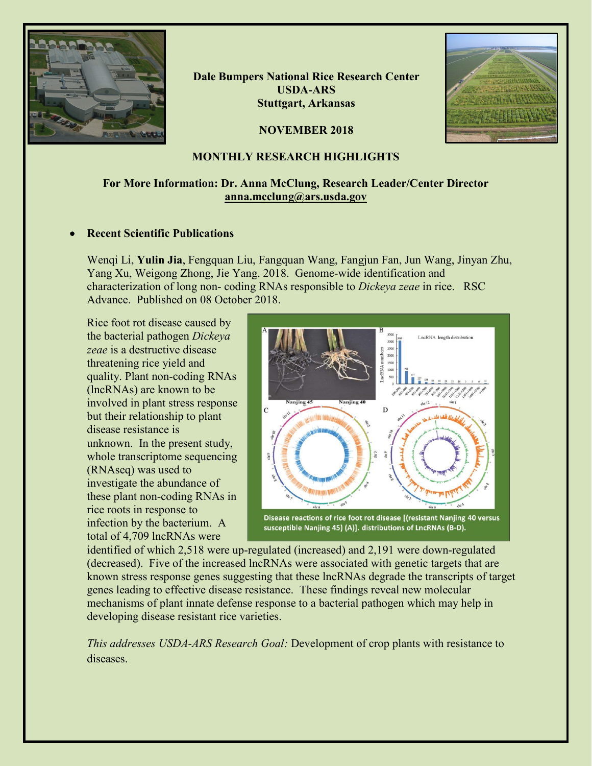

**Dale Bumpers National Rice Research Center USDA-ARS Stuttgart, Arkansas**





# **MONTHLY RESEARCH HIGHLIGHTS**

# **For More Information: Dr. Anna McClung, Research Leader/Center Director [anna.mcclung@ars.usda.gov](mailto:anna.mcclung@ars.usda.gov)**

## • **Recent Scientific Publications**

Wenqi Li, **Yulin Jia**, Fengquan Liu, Fangquan Wang, Fangjun Fan, Jun Wang, Jinyan Zhu, Yang Xu, Weigong Zhong, Jie Yang. 2018. Genome-wide identification and characterization of long non- coding RNAs responsible to *Dickeya zeae* in rice. RSC Advance. Published on 08 October 2018.

Rice foot rot disease caused by the bacterial pathogen *Dickeya zeae* is a destructive disease threatening rice yield and quality. Plant non-coding RNAs (lncRNAs) are known to be involved in plant stress response but their relationship to plant disease resistance is unknown. In the present study, whole transcriptome sequencing (RNAseq) was used to investigate the abundance of these plant non-coding RNAs in rice roots in response to infection by the bacterium. A total of 4,709 lncRNAs were



susceptible Nanjing 45) (A)]. distributions of LncRNAs (B-D).

identified of which 2,518 were up-regulated (increased) and 2,191 were down-regulated (decreased). Five of the increased lncRNAs were associated with genetic targets that are known stress response genes suggesting that these lncRNAs degrade the transcripts of target genes leading to effective disease resistance. These findings reveal new molecular mechanisms of plant innate defense response to a bacterial pathogen which may help in developing disease resistant rice varieties.

*This addresses USDA-ARS Research Goal:* Development of crop plants with resistance to diseases.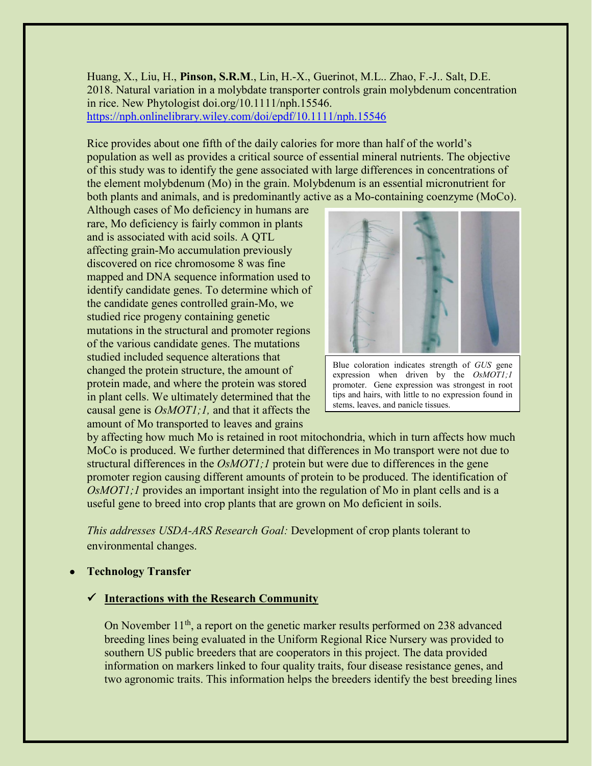Huang, X., Liu, H., **Pinson, S.R.M**., Lin, H.-X., Guerinot, M.L.. Zhao, F.-J.. Salt, D.E. 2018. Natural variation in a molybdate transporter controls grain molybdenum concentration in rice. New Phytologist doi.org/10.1111/nph.15546. <https://nph.onlinelibrary.wiley.com/doi/epdf/10.1111/nph.15546>

Rice provides about one fifth of the daily calories for more than half of the world's population as well as provides a critical source of essential mineral nutrients. The objective of this study was to identify the gene associated with large differences in concentrations of the element molybdenum (Mo) in the grain. Molybdenum is an essential micronutrient for both plants and animals, and is predominantly active as a Mo-containing coenzyme (MoCo).

Although cases of Mo deficiency in humans are rare, Mo deficiency is fairly common in plants and is associated with acid soils. A QTL affecting grain-Mo accumulation previously discovered on rice chromosome 8 was fine mapped and DNA sequence information used to identify candidate genes. To determine which of the candidate genes controlled grain-Mo, we studied rice progeny containing genetic mutations in the structural and promoter regions of the various candidate genes. The mutations studied included sequence alterations that changed the protein structure, the amount of protein made, and where the protein was stored in plant cells. We ultimately determined that the causal gene is *OsMOT1;1,* and that it affects the amount of Mo transported to leaves and grains



Blue coloration indicates strength of *GUS* gene expression when driven by the *OsMOT1;1* promoter. Gene expression was strongest in root tips and hairs, with little to no expression found in stems, leaves, and panicle tissues.

by affecting how much Mo is retained in root mitochondria, which in turn affects how much MoCo is produced. We further determined that differences in Mo transport were not due to structural differences in the *OsMOT1;1* protein but were due to differences in the gene promoter region causing different amounts of protein to be produced. The identification of *OsMOT1;1* provides an important insight into the regulation of Mo in plant cells and is a useful gene to breed into crop plants that are grown on Mo deficient in soils.

*This addresses USDA-ARS Research Goal:* Development of crop plants tolerant to environmental changes.

• **Technology Transfer**

## **Interactions with the Research Community**

On November 11<sup>th</sup>, a report on the genetic marker results performed on 238 advanced breeding lines being evaluated in the Uniform Regional Rice Nursery was provided to southern US public breeders that are cooperators in this project. The data provided information on markers linked to four quality traits, four disease resistance genes, and two agronomic traits. This information helps the breeders identify the best breeding lines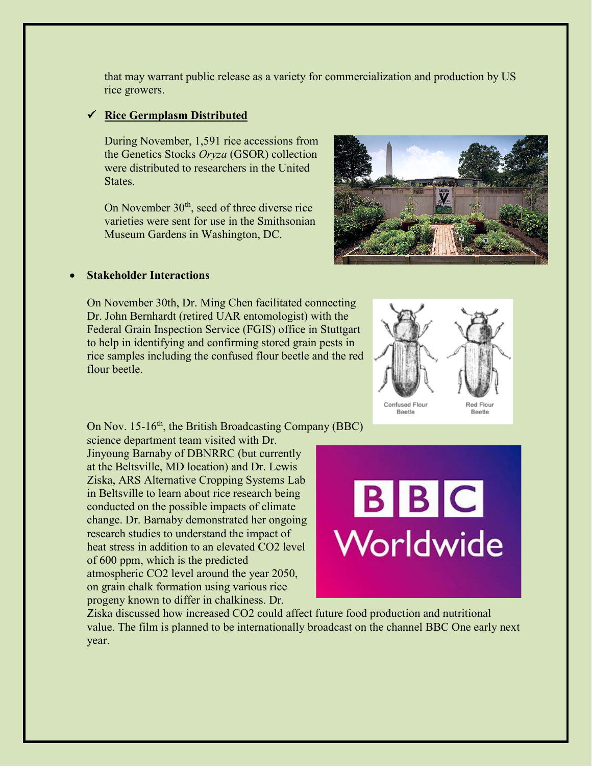that may warrant public release as a variety for commercialization and production by US rice growers.

## **Rice Germplasm Distributed**

During November, 1,591 rice accessions from the Genetics Stocks *Oryza* (GSOR) collection were distributed to researchers in the United States.

On November  $30<sup>th</sup>$ , seed of three diverse rice varieties were sent for use in the Smithsonian Museum Gardens in Washington, DC.



#### • **Stakeholder Interactions**

On November 30th, Dr. Ming Chen facilitated connecting Dr. John Bernhardt (retired UAR entomologist) with the Federal Grain Inspection Service (FGIS) office in Stuttgart to help in identifying and confirming stored grain pests in rice samples including the confused flour beetle and the red flour beetle.



On Nov. 15-16<sup>th</sup>, the British Broadcasting Company (BBC)

science department team visited with Dr. Jinyoung Barnaby of DBNRRC (but currently at the Beltsville, MD location) and Dr. Lewis Ziska, ARS Alternative Cropping Systems Lab in Beltsville to learn about rice research being conducted on the possible impacts of climate change. Dr. Barnaby demonstrated her ongoing research studies to understand the impact of heat stress in addition to an elevated CO2 level of 600 ppm, which is the predicted atmospheric CO2 level around the year 2050, on grain chalk formation using various rice progeny known to differ in chalkiness. Dr.



Ziska discussed how increased CO2 could affect future food production and nutritional value. The film is planned to be internationally broadcast on the channel BBC One early next year.